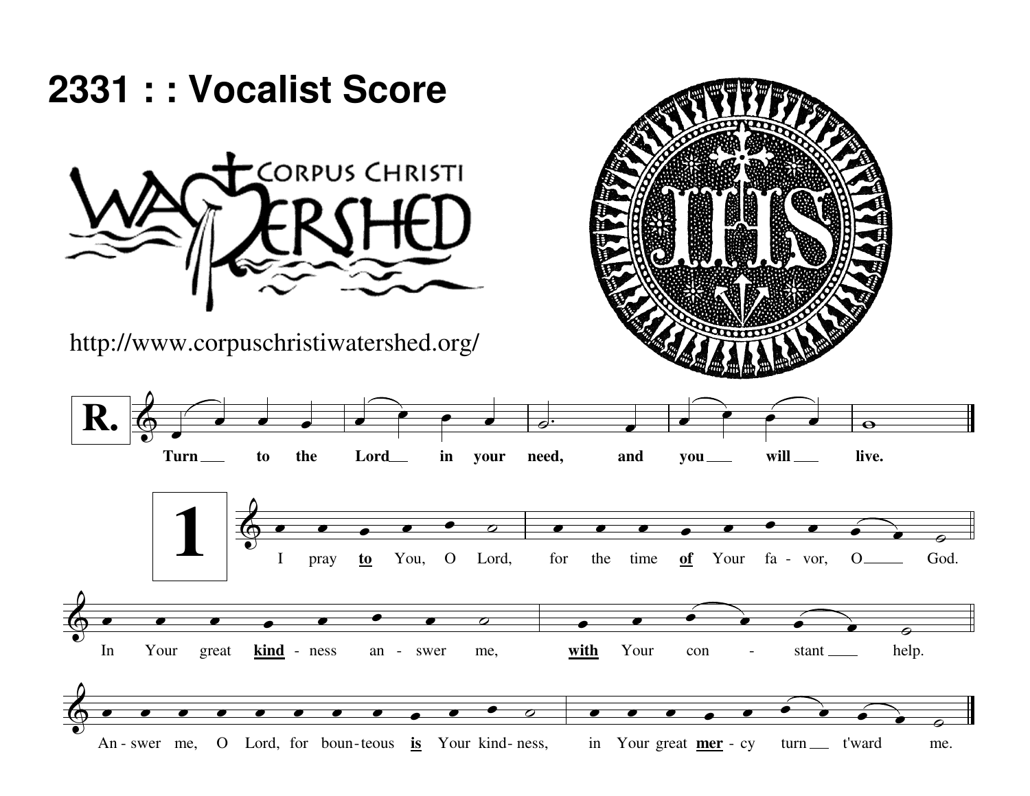